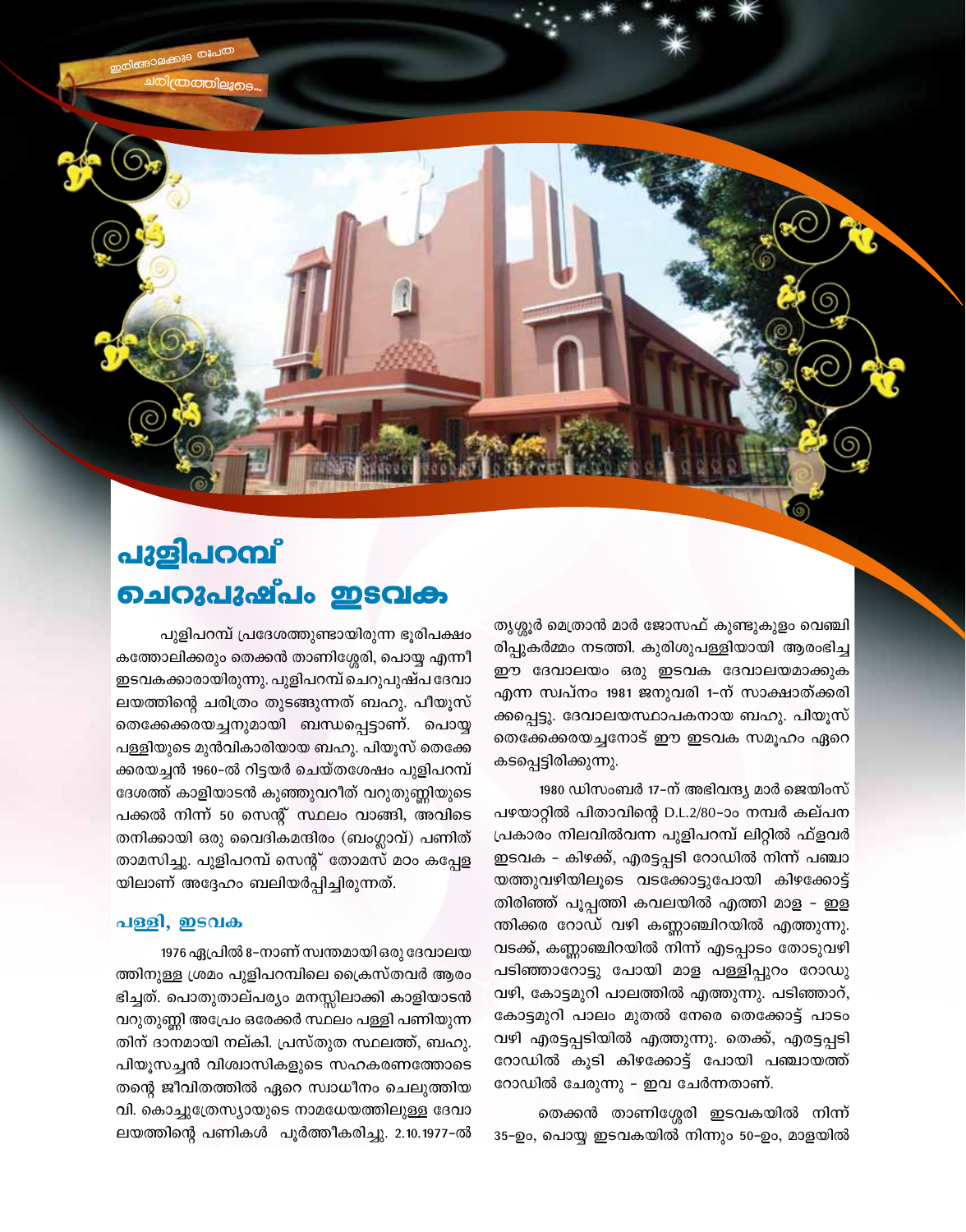പുളിപറമ്പ് <u> ചെറുപുഷ്പം ഇടവക</u>

പുളിപറമ്പ് പ്രദേശത്തുണ്ടായിരുന്ന ഭൂരിപക്ഷം കത്തോലിക്കരും തെക്കൻ താണിശ്ശേരി, പൊയ്യ എന്നീ ഇടവകക്കാരായിരുന്നു. പുളിപറമ്പ് ചെറുപുഷ്പ ദേവാ ലയത്തിന്റെ ചരിത്രം തുടങ്ങുന്നത് ബഹു. പീയൂസ് തെക്കേക്കരയച്ചനുമായി ബന്ധപ്പെട്ടാണ്. പൊയ്യ പള്ളിയുടെ മുൻവികാരിയായ ബഹു. പിയൂസ് തെക്കേ ക്കരയച്ചൻ 1960-ൽ റിട്ടയർ ചെയ്തശേഷം പുളിപറമ്പ് ദേശത്ത് കാളിയാടൻ കുഞ്ഞുവറീത് വറുതുണ്ണിയുടെ പക്കൽ നിന്ന് 50 സെന്റ് സ്ഥലം വാങ്ങി, അവിടെ തനിക്കായി ഒരു വൈദികമന്ദിരം (ബംഗ്ലാവ്) പണിത് താമസിച്ചു. പുളിപറമ്പ് സെന്റ് തോമസ് മഠം കപ്പേള യിലാണ് അദ്ദേഹം ബലിയർപ്പിച്ചിരുന്നത്.

### പള്ളി, ഇടവക

1976 ഏപ്രിൽ 8–നാണ് സ്വന്തമായി ഒരു ദേവാലയ ത്തിനുള്ള ശ്രമം പുളിപറമ്പിലെ ക്രൈസ്തവർ ആരം ഭിച്ചത്. പൊതുതാല്പര്യം മനസ്സിലാക്കി കാളിയാടൻ വറുതുണ്ണി അപ്രേം ഒരേക്കർ സ്ഥലം പള്ളി പണിയുന്ന തിന് ദാനമായി നല്കി. പ്രസ്തുത സ്ഥലത്ത്, ബഹു. പിയൂസച്ചൻ വിശ്വാസികളുടെ സഹകരണത്തോടെ തന്റെ ജീവിതത്തിൽ ഏറെ സ്വാധീനം ചെലുത്തിയ വി. കൊച്ചുത്രേസ്യായുടെ നാമധേയത്തിലുള്ള ദേവാ ലയത്തിന്റെ പണികൾ പൂർത്തീകരിച്ചു. 2.10.1977-ൽ തൃശ്ശൂർ മെത്രാൻ മാർ ജോസഫ് കുണ്ടുകുളം വെഞ്ചി രിപ്പുകർമ്മം നടത്തി. കുരിശുപള്ളിയായി ആരംഭിച്ച ഈ ദേവാലയം ഒരു ഇടവക ദേവാലയമാക്കുക എന്ന സ്വപ്നം 1981 ജനുവരി 1–ന് സാക്ഷാത്ക്കരി ക്കപ്പെട്ടു. ദേവാലയസ്ഥാപകനായ ബഹു. പിയൂസ് തെക്കേക്കരയച്ചനോട് ഈ ഇടവക സമൂഹം ഏറെ കടപ്പെട്ടിരിക്കുന്നു.

1980 ഡിസംബർ 17-ന് അഭിവന്ദ്യ മാർ ജെയിംസ് പഴയാറ്റിൽ പിതാവിന്റെ D.L.2/80-ാം നമ്പർ കല്പന പ്രകാരം നിലവിൽവന്ന പുളിപറമ്പ് ലിറ്റിൽ ഫ്ളവർ ഇടവക - കിഴക്ക്, എരട്ടപ്പടി റോഡിൽ നിന്ന് പഞ്ചാ യത്തുവഴിയിലൂടെ വടക്കോട്ടുപോയി കിഴക്കോട്ട് തിരിഞ്ഞ് പൂപ്പത്തി കവലയിൽ എത്തി മാള – ഇള ന്തിക്കര റോഡ് വഴി കണ്ണാഞ്ചിറയിൽ എത്തുന്നു. വടക്ക്, കണ്ണാഞ്ചിറയിൽ നിന്ന് എടപ്പാടം തോടുവഴി പടിഞ്ഞാറോട്ടു പോയി മാള പള്ളിപ്പുറം റോഡു വഴി, കോട്ടമുറി പാലത്തിൽ എത്തുന്നു. പടിഞ്ഞാറ്, കോട്ടമുറി പാലം മുതൽ നേരെ തെക്കോട്ട് പാടം വഴി എരട്ടപ്പടിയിൽ എത്തുന്നു. തെക്ക്, എരട്ടപ്പടി റോഡിൽ കൂടി കിഴക്കോട്ട് പോയി പഞ്ചായത്ത് റോഡിൽ ചേരുന്നു - ഇവ ചേർന്നതാണ്.

തെക്കൻ താണിശ്ശേരി ഇടവകയിൽ നിന്ന് 35-ഉം, പൊയ്യ ഇടവകയിൽ നിന്നും 50-ഉം, മാളയിൽ